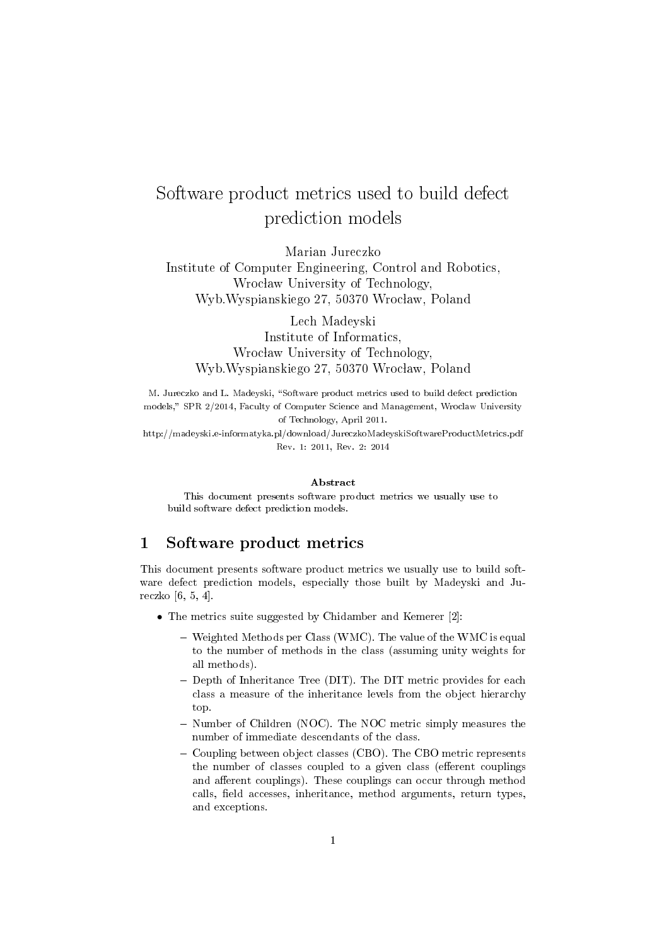## Software product metrics used to build defect prediction models

Marian Jureczko Institute of Computer Engineering, Control and Robotics, Wrocław University of Technology, Wyb.Wyspianskiego 27, 50370 Wrocław, Poland

Lech Madeyski Institute of Informatics, Wrocław University of Technology, Wyb.Wyspianskiego 27, 50370 Wrocław, Poland

M. Jureczko and L. Madeyski, "Software product metrics used to build defect prediction models," SPR 2/2014, Faculty of Computer Science and Management, Wroclaw University of Technology, April 2011.

http://madeyski.e-informatyka.pl/download/JureczkoMadeyskiSoftwareProductMetrics.pdf Rev. 1: 2011, Rev. 2: 2014

## Abstract

This document presents software product metrics we usually use to build software defect prediction models.

## 1 Software product metrics

This document presents software product metrics we usually use to build software defect prediction models, especially those built by Madeyski and Jureczko [6, 5, 4].

- The metrics suite suggested by Chidamber and Kemerer [2]:
	- Weighted Methods per Class (WMC). The value of the WMC is equal to the number of methods in the class (assuming unity weights for all methods).
	- Depth of Inheritance Tree (DIT). The DIT metric provides for each class a measure of the inheritance levels from the object hierarchy top.
	- Number of Children (NOC). The NOC metric simply measures the number of immediate descendants of the class.
	- Coupling between object classes (CBO). The CBO metric represents the number of classes coupled to a given class (efferent couplings and afferent couplings). These couplings can occur through method calls, field accesses, inheritance, method arguments, return types, and exceptions.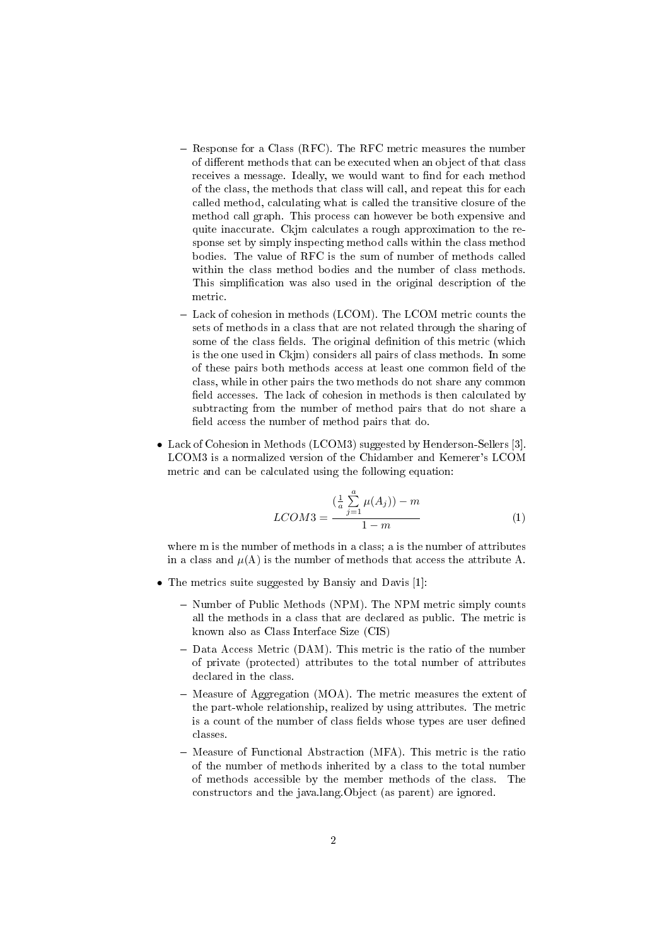- Response for a Class (RFC). The RFC metric measures the number of different methods that can be executed when an object of that class receives a message. Ideally, we would want to find for each method of the class, the methods that class will call, and repeat this for each called method, calculating what is called the transitive closure of the method call graph. This process can however be both expensive and quite inaccurate. Ckjm calculates a rough approximation to the response set by simply inspecting method calls within the class method bodies. The value of RFC is the sum of number of methods called within the class method bodies and the number of class methods. This simplication was also used in the original description of the metric.
- Lack of cohesion in methods (LCOM). The LCOM metric counts the sets of methods in a class that are not related through the sharing of some of the class fields. The original definition of this metric (which is the one used in Ckjm) considers all pairs of class methods. In some of these pairs both methods access at least one common field of the class, while in other pairs the two methods do not share any common field accesses. The lack of cohesion in methods is then calculated by subtracting from the number of method pairs that do not share a field access the number of method pairs that do.
- Lack of Cohesion in Methods (LCOM3) suggested by Henderson-Sellers [3]. LCOM3 is a normalized version of the Chidamber and Kemerer's LCOM metric and can be calculated using the following equation:

$$
LCOM3 = \frac{\left(\frac{1}{a}\sum_{j=1}^{a}\mu(A_j)\right) - m}{1 - m}
$$
 (1)

where m is the number of methods in a class; a is the number of attributes in a class and  $\mu(A)$  is the number of methods that access the attribute A.

- The metrics suite suggested by Bansiy and Davis [1]:
	- Number of Public Methods (NPM). The NPM metric simply counts<br>all the methods in a class that are declared as public. The metric is all the methods in a class that are declared as public. The metric is known also as Class Interface Size (CIS)
	- Data Access Metric (DAM). This metric is the ratio of the number of private (protected) attributes to the total number of attributes declared in the class.
	- Measure of Aggregation (MOA). The metric measures the extent of the part-whole relationship, realized by using attributes. The metric is a count of the number of class fields whose types are user defined classes.
	- Measure of Functional Abstraction (MFA). This metric is the ratio of the number of methods inherited by a class to the total number of methods accessible by the member methods of the class. The constructors and the java.lang.Object (as parent) are ignored.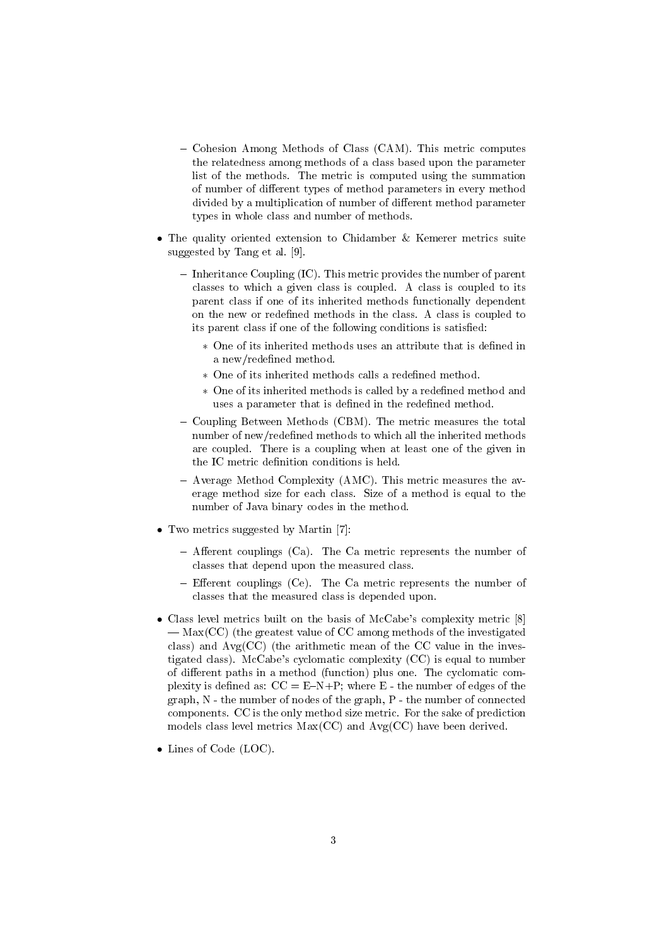- Cohesion Among Methods of Class (CAM). This metric computes the relatedness among methods of a class based upon the parameter list of the methods. The metric is computed using the summation of number of different types of method parameters in every method divided by a multiplication of number of different method parameter types in whole class and number of methods.
- The quality oriented extension to Chidamber & Kemerer metrics suite suggested by Tang et al. [9].
	- $\overline{\phantom{a}}$  Inheritance Coupling (IC). This metric provides the number of parent classes to which a given class is coupled. A class is coupled to its parent class if one of its inherited methods functionally dependent on the new or redefined methods in the class. A class is coupled to its parent class if one of the following conditions is satised:
		- ∗ One of its inherited methods uses an attribute that is dened in a new/redefined method.
		- ∗ One of its inherited methods calls a redened method.
		- ∗ One of its inherited methods is called by a redened method and uses a parameter that is defined in the redefined method.
	- Coupling Between Methods (CBM). The metric measures the total number of new/redefined methods to which all the inherited methods are coupled. There is a coupling when at least one of the given in the IC metric definition conditions is held.
	- Average Method Complexity (AMC). This metric measures the average method size for each class. Size of a method is equal to the number of Java binary codes in the method.
- Two metrics suggested by Martin [7]:
	- $-$  Afferent couplings (Ca). The Ca metric represents the number of classes that depend upon the measured class.
	- $-$  Efferent couplings (Ce). The Ca metric represents the number of classes that the measured class is depended upon.
- Class level metrics built on the basis of McCabe's complexity metric [8]  $-\text{Max(CC)}$  (the greatest value of CC among methods of the investigated class) and  $Avg(CC)$  (the arithmetic mean of the CC value in the investigated class). McCabe's cyclomatic complexity (CC) is equal to number of different paths in a method (function) plus one. The cyclomatic complexity is defined as:  $CC = E-N+P$ ; where  $E$  - the number of edges of the graph, N - the number of nodes of the graph, P - the number of connected components. CC is the only method size metric. For the sake of prediction models class level metrics  $Max(CC)$  and  $Avg(CC)$  have been derived.
- Lines of Code (LOC).